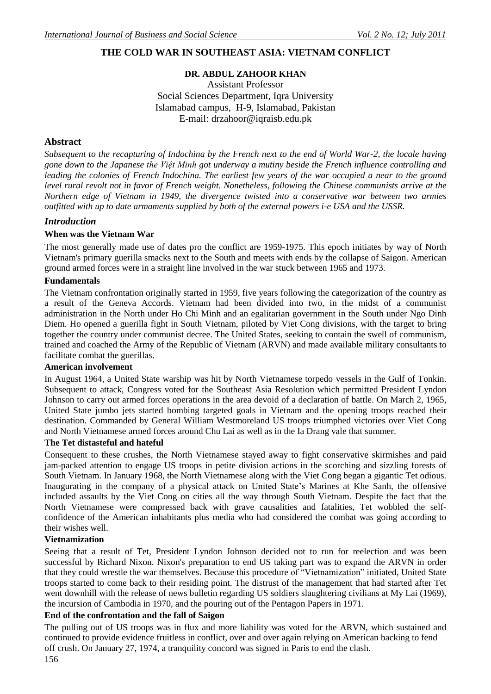# **THE COLD WAR IN SOUTHEAST ASIA: VIETNAM CONFLICT**

### **DR. ABDUL ZAHOOR KHAN**

Assistant Professor Social Sciences Department, Iqra University Islamabad campus, H-9, Islamabad, Pakistan E-mail: drzahoor@iqraisb.edu.pk

# **Abstract**

*Subsequent to the recapturing of Indochina by the French next to the end of World War-2, the locale having gone down to the Japanese the Việt Minh got underway a mutiny beside the French influence controlling and leading the colonies of French Indochina. The earliest few years of the war occupied a near to the ground level rural revolt not in favor of French weight. Nonetheless, following the Chinese communists arrive at the Northern edge of Vietnam in 1949, the divergence twisted into a conservative war between two armies outfitted with up to date armaments supplied by both of the external powers i-e USA and the USSR.*

### *Introduction*

#### **When was the Vietnam War**

The most generally made use of dates pro the conflict are 1959-1975. This epoch initiates by way of North Vietnam's primary guerilla smacks next to the South and meets with ends by the collapse of Saigon. American ground armed forces were in a straight line involved in the war stuck between 1965 and 1973.

## **Fundamentals**

The Vietnam confrontation originally started in 1959, five years following the categorization of the country as a result of the Geneva Accords. Vietnam had been divided into two, in the midst of a communist administration in the North under Ho Chi Minh and an egalitarian government in the South under Ngo Dinh Diem. Ho opened a guerilla fight in South Vietnam, piloted by Viet Cong divisions, with the target to bring together the country under communist decree. The United States, seeking to contain the swell of communism, trained and coached the Army of the Republic of Vietnam (ARVN) and made available military consultants to facilitate combat the guerillas.

#### **American involvement**

In August 1964, a United State warship was hit by North Vietnamese torpedo vessels in the Gulf of Tonkin. Subsequent to attack, Congress voted for the Southeast Asia Resolution which permitted President Lyndon Johnson to carry out armed forces operations in the area devoid of a declaration of battle. On March 2, 1965, United State jumbo jets started bombing targeted goals in Vietnam and the opening troops reached their destination. Commanded by General William Westmoreland US troops triumphed victories over Viet Cong and North Vietnamese armed forces around Chu Lai as well as in the Ia Drang vale that summer.

#### **The Tet distasteful and hateful**

Consequent to these crushes, the North Vietnamese stayed away to fight conservative skirmishes and paid jam-packed attention to engage US troops in petite division actions in the scorching and sizzling forests of South Vietnam. In January 1968, the North Vietnamese along with the Viet Cong began a gigantic Tet odious. Inaugurating in the company of a physical attack on United State's Marines at Khe Sanh, the offensive included assaults by the Viet Cong on cities all the way through South Vietnam. Despite the fact that the North Vietnamese were compressed back with grave causalities and fatalities, Tet wobbled the selfconfidence of the American inhabitants plus media who had considered the combat was going according to their wishes well.

#### **Vietnamization**

Seeing that a result of Tet, President Lyndon Johnson decided not to run for reelection and was been successful by Richard Nixon. Nixon's preparation to end US taking part was to expand the ARVN in order that they could wrestle the war themselves. Because this procedure of "Vietnamization" initiated, United State troops started to come back to their residing point. The distrust of the management that had started after Tet went downhill with the release of news bulletin regarding US soldiers slaughtering civilians at My Lai (1969), the incursion of Cambodia in 1970, and the pouring out of the Pentagon Papers in 1971.

#### **End of the confrontation and the fall of Saigon**

156 The pulling out of US troops was in flux and more liability was voted for the ARVN, which sustained and continued to provide evidence fruitless in conflict, over and over again relying on American backing to fend off crush. On January 27, 1974, a tranquility concord was signed in Paris to end the clash.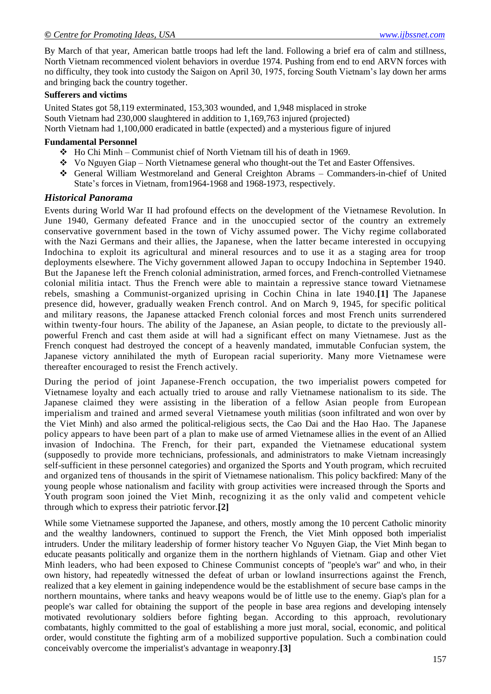By March of that year, American battle troops had left the land. Following a brief era of calm and stillness, North Vietnam recommenced violent behaviors in overdue 1974. Pushing from end to end ARVN forces with no difficulty, they took into custody the Saigon on April 30, 1975, forcing South Vietnam's lay down her arms and bringing back the country together.

## **Sufferers and victims**

United States got 58,119 exterminated, 153,303 wounded, and 1,948 misplaced in stroke South Vietnam had 230,000 slaughtered in addition to 1,169,763 injured (projected) North Vietnam had 1,100,000 eradicated in battle (expected) and a mysterious figure of injured

## **Fundamental Personnel**

- Ho Chi Minh Communist chief of North Vietnam till his of death in 1969.
- \* Vo Nguyen Giap North Vietnamese general who thought-out the Tet and Easter Offensives.
- General William Westmoreland and General Creighton Abrams Commanders-in-chief of United State's forces in Vietnam, from1964-1968 and 1968-1973, respectively.

## *Historical Panorama*

Events during World War II had profound effects on the development of the Vietnamese Revolution. In June 1940, Germany defeated France and in the unoccupied sector of the country an extremely conservative government based in the town of Vichy assumed power. The Vichy regime collaborated with the Nazi Germans and their allies, the Japanese, when the latter became interested in occupying Indochina to exploit its agricultural and mineral resources and to use it as a staging area for troop deployments elsewhere. The Vichy government allowed Japan to occupy Indochina in September 1940. But the Japanese left the French colonial administration, armed forces, and French-controlled Vietnamese colonial militia intact. Thus the French were able to maintain a repressive stance toward Vietnamese rebels, smashing a Communist-organized uprising in Cochin China in late 1940.**[1]** The Japanese presence did, however, gradually weaken French control. And on March 9, 1945, for specific political and military reasons, the Japanese attacked French colonial forces and most French units surrendered within twenty-four hours. The ability of the Japanese, an Asian people, to dictate to the previously allpowerful French and cast them aside at will had a significant effect on many Vietnamese. Just as the French conquest had destroyed the concept of a heavenly mandated, immutable Confucian system, the Japanese victory annihilated the myth of European racial superiority. Many more Vietnamese were thereafter encouraged to resist the French actively.

During the period of joint Japanese-French occupation, the two imperialist powers competed for Vietnamese loyalty and each actually tried to arouse and rally Vietnamese nationalism to its side. The Japanese claimed they were assisting in the liberation of a fellow Asian people from European imperialism and trained and armed several Vietnamese youth militias (soon infiltrated and won over by the Viet Minh) and also armed the political-religious sects, the Cao Dai and the Hao Hao. The Japanese policy appears to have been part of a plan to make use of armed Vietnamese allies in the event of an Allied invasion of Indochina. The French, for their part, expanded the Vietnamese educational system (supposedly to provide more technicians, professionals, and administrators to make Vietnam increasingly self-sufficient in these personnel categories) and organized the Sports and Youth program, which recruited and organized tens of thousands in the spirit of Vietnamese nationalism. This policy backfired: Many of the young people whose nationalism and facility with group activities were increased through the Sports and Youth program soon joined the Viet Minh, recognizing it as the only valid and competent vehicle through which to express their patriotic fervor.**[2]**

While some Vietnamese supported the Japanese, and others, mostly among the 10 percent Catholic minority and the wealthy landowners, continued to support the French, the Viet Minh opposed both imperialist intruders. Under the military leadership of former history teacher Vo Nguyen Giap, the Viet Minh began to educate peasants politically and organize them in the northern highlands of Vietnam. Giap and other Viet Minh leaders, who had been exposed to Chinese Communist concepts of "people's war" and who, in their own history, had repeatedly witnessed the defeat of urban or lowland insurrections against the French, realized that a key element in gaining independence would be the establishment of secure base camps in the northern mountains, where tanks and heavy weapons would be of little use to the enemy. Giap's plan for a people's war called for obtaining the support of the people in base area regions and developing intensely motivated revolutionary soldiers before fighting began. According to this approach, revolutionary combatants, highly committed to the goal of establishing a more just moral, social, economic, and political order, would constitute the fighting arm of a mobilized supportive population. Such a combination could conceivably overcome the imperialist's advantage in weaponry.**[3]**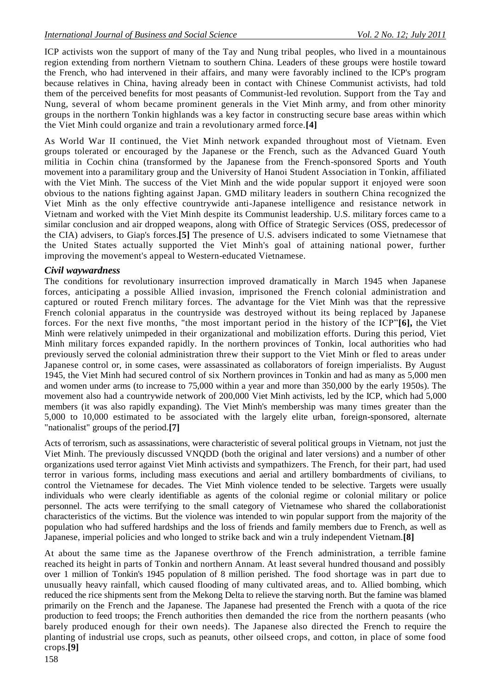ICP activists won the support of many of the Tay and Nung tribal peoples, who lived in a mountainous region extending from northern Vietnam to southern China. Leaders of these groups were hostile toward the French, who had intervened in their affairs, and many were favorably inclined to the ICP's program because relatives in China, having already been in contact with Chinese Communist activists, had told them of the perceived benefits for most peasants of Communist-led revolution. Support from the Tay and Nung, several of whom became prominent generals in the Viet Minh army, and from other minority groups in the northern Tonkin highlands was a key factor in constructing secure base areas within which the Viet Minh could organize and train a revolutionary armed force.**[4]**

As World War II continued, the Viet Minh network expanded throughout most of Vietnam. Even groups tolerated or encouraged by the Japanese or the French, such as the Advanced Guard Youth militia in Cochin china (transformed by the Japanese from the French-sponsored Sports and Youth movement into a paramilitary group and the University of Hanoi Student Association in Tonkin, affiliated with the Viet Minh. The success of the Viet Minh and the wide popular support it enjoyed were soon obvious to the nations fighting against Japan. GMD military leaders in southern China recognized the Viet Minh as the only effective countrywide anti-Japanese intelligence and resistance network in Vietnam and worked with the Viet Minh despite its Communist leadership. U.S. military forces came to a similar conclusion and air dropped weapons, along with Office of Strategic Services (OSS, predecessor of the CIA) advisers, to Giap's forces.**[5]** The presence of U.S. advisers indicated to some Vietnamese that the United States actually supported the Viet Minh's goal of attaining national power, further improving the movement's appeal to Western-educated Vietnamese.

## *Civil waywardness*

The conditions for revolutionary insurrection improved dramatically in March 1945 when Japanese forces, anticipating a possible Allied invasion, imprisoned the French colonial administration and captured or routed French military forces. The advantage for the Viet Minh was that the repressive French colonial apparatus in the countryside was destroyed without its being replaced by Japanese forces. For the next five months, "the most important period in the history of the ICP"<sup>[6]</sup>, the Viet Minh were relatively unimpeded in their organizational and mobilization efforts. During this period, Viet Minh military forces expanded rapidly. In the northern provinces of Tonkin, local authorities who had previously served the colonial administration threw their support to the Viet Minh or fled to areas under Japanese control or, in some cases, were assassinated as collaborators of foreign imperialists. By August 1945, the Viet Minh had secured control of six Northern provinces in Tonkin and had as many as 5,000 men and women under arms (to increase to 75,000 within a year and more than 350,000 by the early 1950s). The movement also had a countrywide network of 200,000 Viet Minh activists, led by the ICP, which had 5,000 members (it was also rapidly expanding). The Viet Minh's membership was many times greater than the 5,000 to 10,000 estimated to be associated with the largely elite urban, foreign-sponsored, alternate "nationalist" groups of the period.**[7]**

Acts of terrorism, such as assassinations, were characteristic of several political groups in Vietnam, not just the Viet Minh. The previously discussed VNQDD (both the original and later versions) and a number of other organizations used terror against Viet Minh activists and sympathizers. The French, for their part, had used terror in various forms, including mass executions and aerial and artillery bombardments of civilians, to control the Vietnamese for decades. The Viet Minh violence tended to be selective. Targets were usually individuals who were clearly identifiable as agents of the colonial regime or colonial military or police personnel. The acts were terrifying to the small category of Vietnamese who shared the collaborationist characteristics of the victims. But the violence was intended to win popular support from the majority of the population who had suffered hardships and the loss of friends and family members due to French, as well as Japanese, imperial policies and who longed to strike back and win a truly independent Vietnam.**[8]**

At about the same time as the Japanese overthrow of the French administration, a terrible famine reached its height in parts of Tonkin and northern Annam. At least several hundred thousand and possibly over 1 million of Tonkin's 1945 population of 8 million perished. The food shortage was in part due to unusually heavy rainfall, which caused flooding of many cultivated areas, and to. Allied bombing, which reduced the rice shipments sent from the Mekong Delta to relieve the starving north. But the famine was blamed primarily on the French and the Japanese. The Japanese had presented the French with a quota of the rice production to feed troops; the French authorities then demanded the rice from the northern peasants (who barely produced enough for their own needs). The Japanese also directed the French to require the planting of industrial use crops, such as peanuts, other oilseed crops, and cotton, in place of some food crops.**[9]**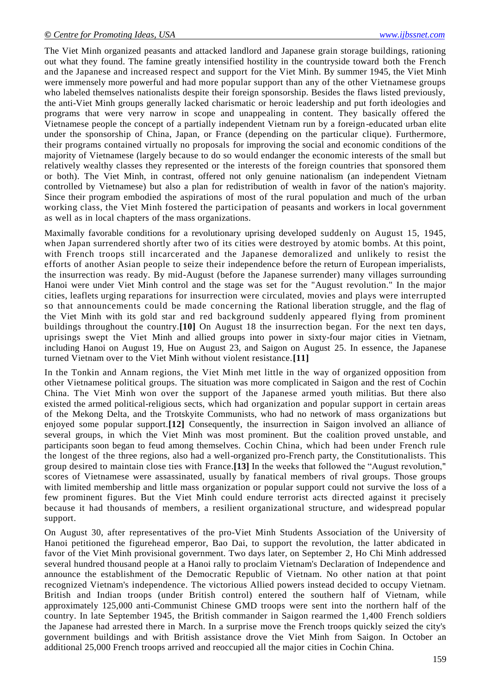The Viet Minh organized peasants and attacked landlord and Japanese grain storage buildings, rationing out what they found. The famine greatly intensified hostility in the countryside toward both the French and the Japanese and increased respect and support for the Viet Minh. By summer 1945, the Viet Minh were immensely more powerful and had more popular support than any of the other Vietnamese groups who labeled themselves nationalists despite their foreign sponsorship. Besides the flaws listed previously, the anti-Viet Minh groups generally lacked charismatic or heroic leadership and put forth ideologies and programs that were very narrow in scope and unappealing in content. They basically offered the Vietnamese people the concept of a partially independent Vietnam run by a foreign-educated urban elite under the sponsorship of China, Japan, or France (depending on the particular clique). Furthermore, their programs contained virtually no proposals for improving the social and economic conditions of the majority of Vietnamese (largely because to do so would endanger the economic interests of the small but relatively wealthy classes they represented or the interests of the foreign countries that sponsored them or both). The Viet Minh, in contrast, offered not only genuine nationalism (an independent Vietnam controlled by Vietnamese) but also a plan for redistribution of wealth in favor of the nation's majority. Since their program embodied the aspirations of most of the rural population and much of the urban working class, the Viet Minh fostered the participation of peasants and workers in local government as well as in local chapters of the mass organizations.

Maximally favorable conditions for a revolutionary uprising developed suddenly on August 15, 1945, when Japan surrendered shortly after two of its cities were destroyed by atomic bombs. At this point, with French troops still incarcerated and the Japanese demoralized and unlikely to resist the efforts of another Asian people to seize their independence before the return of European imperialists, the insurrection was ready. By mid-August (before the Japanese surrender) many villages surrounding Hanoi were under Viet Minh control and the stage was set for the "August revolution." In the major cities, leaflets urging reparations for insurrection were circulated, movies and plays were interrupted so that announcements could be made concerning the Rational liberation struggle, and the flag of the Viet Minh with its gold star and red background suddenly appeared flying from prominent buildings throughout the country.**[10]** On August 18 the insurrection began. For the next ten days, uprisings swept the Viet Minh and allied groups into power in sixty-four major cities in Vietnam, including Hanoi on August 19, Hue on August 23, and Saigon on August 25. In essence, the Japanese turned Vietnam over to the Viet Minh without violent resistance.**[11]**

In the Tonkin and Annam regions, the Viet Minh met little in the way of organized opposition from other Vietnamese political groups. The situation was more complicated in Saigon and the rest of Cochin China. The Viet Minh won over the support of the Japanese armed youth militias. But there also existed the armed political-religious sects, which had organization and popular support in certain areas of the Mekong Delta, and the Trotskyite Communists, who had no network of mass organizations but enjoyed some popular support.**[12]** Consequently, the insurrection in Saigon involved an alliance of several groups, in which the Viet Minh was most prominent. But the coalition proved unstable, and participants soon began to feud among themselves. Cochin China, which had been under French rule the longest of the three regions, also had a well-organized pro-French party, the Constitutionalists. This group desired to maintain close ties with France.<sup>[13]</sup> In the weeks that followed the "August revolution." scores of Vietnamese were assassinated, usually by fanatical members of rival groups. Those groups with limited membership and little mass organization or popular support could not survive the loss of a few prominent figures. But the Viet Minh could endure terrorist acts directed against it precisely because it had thousands of members, a resilient organizational structure, and widespread popular support.

On August 30, after representatives of the pro-Viet Minh Students Association of the University of Hanoi petitioned the figurehead emperor, Bao Dai, to support the revolution, the latter abdicated in favor of the Viet Minh provisional government. Two days later, on September 2, Ho Chi Minh addressed several hundred thousand people at a Hanoi rally to proclaim Vietnam's Declaration of Independence and announce the establishment of the Democratic Republic of Vietnam. No other nation at that point recognized Vietnam's independence. The victorious Allied powers instead decided to occupy Vietnam. British and Indian troops (under British control) entered the southern half of Vietnam, while approximately 125,000 anti-Communist Chinese GMD troops were sent into the northern half of the country. In late September 1945, the British commander in Saigon rearmed the 1,400 French soldiers the Japanese had arrested there in March. In a surprise move the French troops quickly seized the city's government buildings and with British assistance drove the Viet Minh from Saigon. In October an additional 25,000 French troops arrived and reoccupied all the major cities in Cochin China.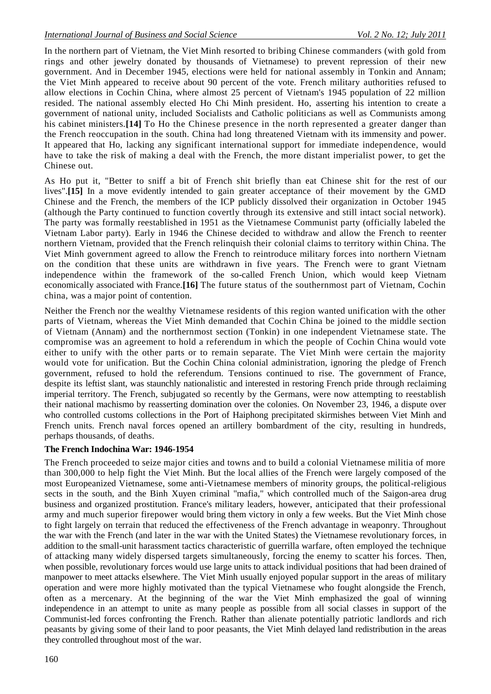In the northern part of Vietnam, the Viet Minh resorted to bribing Chinese commanders (with gold from rings and other jewelry donated by thousands of Vietnamese) to prevent repression of their new government. And in December 1945, elections were held for national assembly in Tonkin and Annam; the Viet Minh appeared to receive about 90 percent of the vote. French military authorities refused to allow elections in Cochin China, where almost 25 percent of Vietnam's 1945 population of 22 million resided. The national assembly elected Ho Chi Minh president. Ho, asserting his intention to create a government of national unity, included Socialists and Catholic politicians as well as Communists among his cabinet ministers.**[14]** To Ho the Chinese presence in the north represented a greater danger than the French reoccupation in the south. China had long threatened Vietnam with its immensity and power. It appeared that Ho, lacking any significant international support for immediate independence, would have to take the risk of making a deal with the French, the more distant imperialist power, to get the Chinese out.

As Ho put it, "Better to sniff a bit of French shit briefly than eat Chinese shit for the rest of our lives".**[15]** In a move evidently intended to gain greater acceptance of their movement by the GMD Chinese and the French, the members of the ICP publicly dissolved their organization in October 1945 (although the Party continued to function covertly through its extensive and still intact social network). The party was formally reestablished in 1951 as the Vietnamese Communist party (officially labeled the Vietnam Labor party). Early in 1946 the Chinese decided to withdraw and allow the French to reenter northern Vietnam, provided that the French relinquish their colonial claims to territory within China. The Viet Minh government agreed to allow the French to reintroduce military forces into northern Vietnam on the condition that these units are withdrawn in five years. The French were to grant Vietnam independence within the framework of the so-called French Union, which would keep Vietnam economically associated with France.**[16]** The future status of the southernmost part of Vietnam, Cochin china, was a major point of contention.

Neither the French nor the wealthy Vietnamese residents of this region wanted unification with the other parts of Vietnam, whereas the Viet Minh demanded that Cochin China be joined to the middle section of Vietnam (Annam) and the northernmost section (Tonkin) in one independent Vietnamese state. The compromise was an agreement to hold a referendum in which the people of Cochin China would vote either to unify with the other parts or to remain separate. The Viet Minh were certain the majority would vote for unification. But the Cochin China colonial administration, ignoring the pledge of French government, refused to hold the referendum. Tensions continued to rise. The government of France, despite its leftist slant, was staunchly nationalistic and interested in restoring French pride through reclaiming imperial territory. The French, subjugated so recently by the Germans, were now attempting to reestablish their national machismo by reasserting domination over the colonies. On November 23, 1946, a dispute over who controlled customs collections in the Port of Haiphong precipitated skirmishes between Viet Minh and French units. French naval forces opened an artillery bombardment of the city, resulting in hundreds, perhaps thousands, of deaths.

# **The French Indochina War: 1946-1954**

The French proceeded to seize major cities and towns and to build a colonial Vietnamese militia of more than 300,000 to help fight the Viet Minh. But the local allies of the French were largely composed of the most Europeanized Vietnamese, some anti-Vietnamese members of minority groups, the political-religious sects in the south, and the Binh Xuyen criminal "mafia," which controlled much of the Saigon-area drug business and organized prostitution. France's military leaders, however, anticipated that their professional army and much superior firepower would bring them victory in only a few weeks. But the Viet Minh chose to fight largely on terrain that reduced the effectiveness of the French advantage in weaponry. Throughout the war with the French (and later in the war with the United States) the Vietnamese revolutionary forces, in addition to the small-unit harassment tactics characteristic of guerrilla warfare, often employed the technique of attacking many widely dispersed targets simultaneously, forcing the enemy to scatter his forces. Then, when possible, revolutionary forces would use large units to attack individual positions that had been drained of manpower to meet attacks elsewhere. The Viet Minh usually enjoyed popular support in the areas of military operation and were more highly motivated than the typical Vietnamese who fought alongside the French, often as a mercenary. At the beginning of the war the Viet Minh emphasized the goal of winning independence in an attempt to unite as many people as possible from all social classes in support of the Communist-led forces confronting the French. Rather than alienate potentially patriotic landlords and rich peasants by giving some of their land to poor peasants, the Viet Minh delayed land redistribution in the areas they controlled throughout most of the war.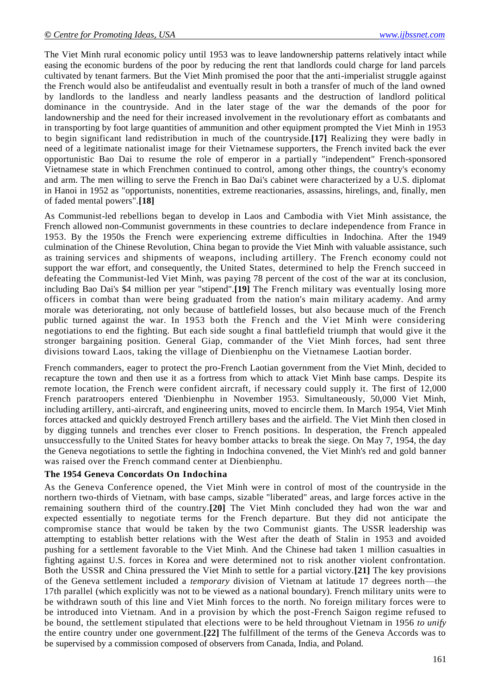The Viet Minh rural economic policy until 1953 was to leave landownership patterns relatively intact while easing the economic burdens of the poor by reducing the rent that landlords could charge for land parcels cultivated by tenant farmers. But the Viet Minh promised the poor that the anti-imperialist struggle against the French would also be antifeudalist and eventually result in both a transfer of much of the land owned by landlords to the landless and nearly landless peasants and the destruction of landlord political dominance in the countryside. And in the later stage of the war the demands of the poor for landownership and the need for their increased involvement in the revolutionary effort as combatants and in transporting by foot large quantities of ammunition and other equipment prompted the Viet Minh in 1953 to begin significant land redistribution in much of the countryside.**[17]** Realizing they were badly in need of a legitimate nationalist image for their Vietnamese supporters, the French invited back the ever opportunistic Bao Dai to resume the role of emperor in a partially "independent" French-sponsored Vietnamese state in which Frenchmen continued to control, among other things, the country's economy and arm. The men willing to serve the French in Bao Dai's cabinet were characterized by a U.S. diplomat in Hanoi in 1952 as "opportunists, nonentities, extreme reactionaries, assassins, hirelings, and, finally, men of faded mental powers".**[18]** 

As Communist-led rebellions began to develop in Laos and Cambodia with Viet Minh assistance, the French allowed non-Communist governments in these countries to declare independence from France in 1953. By the 1950s the French were experiencing extreme difficulties in Indochina. After the 1949 culmination of the Chinese Revolution, China began to provide the Viet Minh with valuable assistance, such as training services and shipments of weapons, including artillery. The French economy could not support the war effort, and consequently, the United States, determined to help the French succeed in defeating the Communist-led Viet Minh, was paying 78 percent of the cost of the war at its conclusion, including Bao Dai's \$4 million per year "stipend".**[19]** The French military was eventually losing more officers in combat than were being graduated from the nation's main military academy. And army morale was deteriorating, not only because of battlefield losses, but also because much of the French public turned against the war. In 1953 both the French and the Viet Minh were considering negotiations to end the fighting. But each side sought a final battlefield triumph that would give it the stronger bargaining position. General Giap, commander of the Viet Minh forces, had sent three divisions toward Laos, taking the village of Dienbienphu on the Vietnamese Laotian border.

French commanders, eager to protect the pro-French Laotian government from the Viet Minh, decided to recapture the town and then use it as a fortress from which to attack Viet Minh base camps. Despite its remote location, the French were confident aircraft, if necessary could supply it. The first of 12,000 French paratroopers entered 'Dienbienphu in November 1953. Simultaneously, 50,000 Viet Minh, including artillery, anti-aircraft, and engineering units, moved to encircle them. In March 1954, Viet Minh forces attacked and quickly destroyed French artillery bases and the airfield. The Viet Minh then closed in by digging tunnels and trenches ever closer to French positions. In desperation, the French appealed unsuccessfully to the United States for heavy bomber attacks to break the siege. On May 7, 1954, the day the Geneva negotiations to settle the fighting in Indochina convened, the Viet Minh's red and gold banner was raised over the French command center at Dienbienphu.

#### **The 1954 Geneva Concordats On Indochina**

As the Geneva Conference opened, the Viet Minh were in control of most of the countryside in the northern two-thirds of Vietnam, with base camps, sizable "liberated" areas, and large forces active in the remaining southern third of the country.**[20]** The Viet Minh concluded they had won the war and expected essentially to negotiate terms for the French departure. But they did not anticipate the compromise stance that would be taken by the two Communist giants. The USSR leadership was attempting to establish better relations with the West after the death of Stalin in 1953 and avoided pushing for a settlement favorable to the Viet Minh. And the Chinese had taken 1 million casualties in fighting against U.S. forces in Korea and were determined not to risk another violent confrontation. Both the USSR and China pressured the Viet Minh to settle for a partial victory.**[21]** The key provisions of the Geneva settlement included a *temporary* division of Vietnam at latitude 17 degrees north—the 17th parallel (which explicitly was not to be viewed as a national boundary). French military units were to be withdrawn south of this line and Viet Minh forces to the north. No foreign military forces were to be introduced into Vietnam. And in a provision by which the post-French Saigon regime refused to be bound, the settlement stipulated that elections were to be held throughout Vietnam in 1956 *to unify*  the entire country under one government.**[22]** The fulfillment of the terms of the Geneva Accords was to be supervised by a commission composed of observers from Canada, India, and Poland.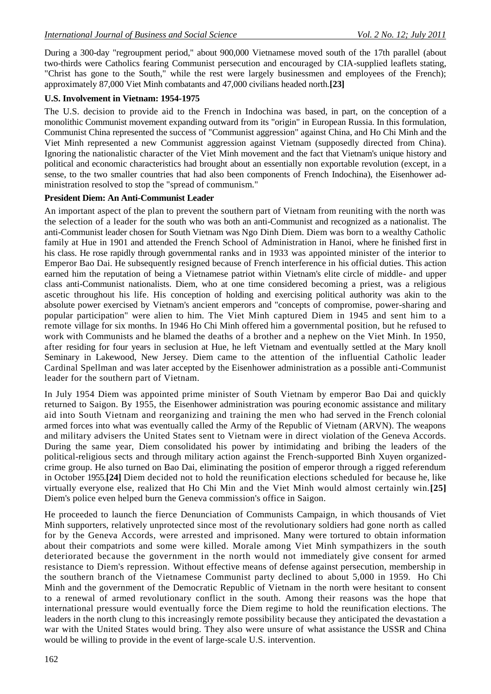During a 300-day "regroupment period," about 900,000 Vietnamese moved south of the 17th parallel (about two-thirds were Catholics fearing Communist persecution and encouraged by CIA-supplied leaflets stating, "Christ has gone to the South," while the rest were largely businessmen and employees of the French); approximately 87,000 Viet Minh combatants and 47,000 civilians headed north.**[23]**

## **U.S. Involvement in Vietnam: 1954-1975**

The U.S. decision to provide aid to the French in Indochina was based, in part, on the conception of a monolithic Communist movement expanding outward from its "origin" in European Russia. In this formulation, Communist China represented the success of "Communist aggression" against China, and Ho Chi Minh and the Viet Minh represented a new Communist aggression against Vietnam (supposedly directed from China). Ignoring the nationalistic character of the Viet Minh movement and the fact that Vietnam's unique history and political and economic characteristics had brought about an essentially non exportable revolution (except, in a sense, to the two smaller countries that had also been components of French Indochina), the Eisenhower administration resolved to stop the "spread of communism."

## **President Diem: An Anti-Communist Leader**

An important aspect of the plan to prevent the southern part of Vietnam from reuniting with the north was the selection of a leader for the south who was both an anti-Communist and recognized as a nationalist. The anti-Communist leader chosen for South Vietnam was Ngo Dinh Diem. Diem was born to a wealthy Catholic family at Hue in 1901 and attended the French School of Administration in Hanoi, where he finished first in his class. He rose rapidly through governmental ranks and in 1933 was appointed minister of the interior to Emperor Bao Dai. He subsequently resigned because of French interference in his official duties. This action earned him the reputation of being a Vietnamese patriot within Vietnam's elite circle of middle- and upper class anti-Communist nationalists. Diem, who at one time considered becoming a priest, was a religious ascetic throughout his life. His conception of holding and exercising political authority was akin to the absolute power exercised by Vietnam's ancient emperors and "concepts of compromise, power-sharing and popular participation" were alien to him. The Viet Minh captured Diem in 1945 and sent him to a remote village for six months. In 1946 Ho Chi Minh offered him a governmental position, but he refused to work with Communists and he blamed the deaths of a brother and a nephew on the Viet Minh. In 1950, after residing for four years in seclusion at Hue, he left Vietnam and eventually settled at the Mary knoll Seminary in Lakewood, New Jersey. Diem came to the attention of the influential Catholic leader Cardinal Spellman and was later accepted by the Eisenhower administration as a possible anti-Communist leader for the southern part of Vietnam.

In July 1954 Diem was appointed prime minister of South Vietnam by emperor Bao Dai and quickly returned to Saigon. By 1955, the Eisenhower administration was pouring economic assistance and military aid into South Vietnam and reorganizing and training the men who had served in the French colonial armed forces into what was eventually called the Army of the Republic of Vietnam (ARVN). The weapons and military advisers the United States sent to Vietnam were in direct violation of the Geneva Accords. During the same year, Diem consolidated his power by intimidating and bribing the leaders of the political-religious sects and through military action against the French-supported Binh Xuyen organizedcrime group. He also turned on Bao Dai, eliminating the position of emperor through a rigged referendum in October 1955.**[24]** Diem decided not to hold the reunification elections scheduled for because he, like virtually everyone else, realized that Ho Chi Min and the Viet Minh would almost certainly win.**[25]** Diem's police even helped burn the Geneva commission's office in Saigon.

He proceeded to launch the fierce Denunciation of Communists Campaign, in which thousands of Viet Minh supporters, relatively unprotected since most of the revolutionary soldiers had gone north as called for by the Geneva Accords, were arrested and imprisoned. Many were tortured to obtain information about their compatriots and some were killed. Morale among Viet Minh sympathizers in the south deteriorated because the government in the north would not immediately give consent for armed resistance to Diem's repression. Without effective means of defense against persecution, membership in the southern branch of the Vietnamese Communist party declined to about 5,000 in 1959. Ho Chi Minh and the government of the Democratic Republic of Vietnam in the north were hesitant to consent to a renewal of armed revolutionary conflict in the south. Among their reasons was the hope that international pressure would eventually force the Diem regime to hold the reunification elections. The leaders in the north clung to this increasingly remote possibility because they anticipated the devastation a war with the United States would bring. They also were unsure of what assistance the USSR and China would be willing to provide in the event of large-scale U.S. intervention.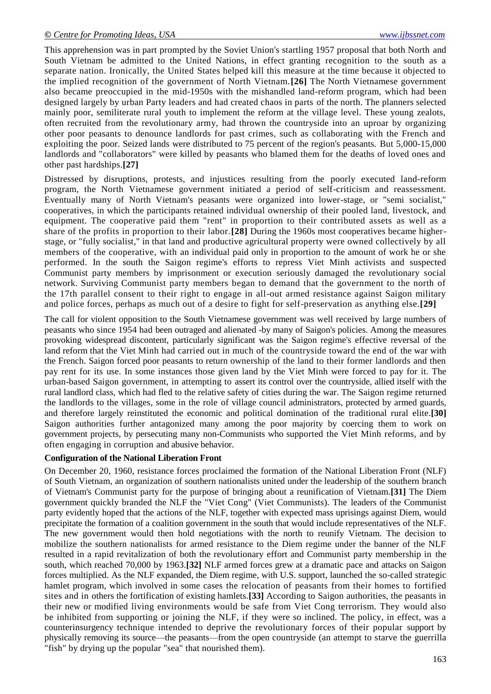This apprehension was in part prompted by the Soviet Union's startling 1957 proposal that both North and South Vietnam be admitted to the United Nations, in effect granting recognition to the south as a separate nation. Ironically, the United States helped kill this measure at the time because it objected to the implied recognition of the government of North Vietnam.**[26]** The North Vietnamese government also became preoccupied in the mid-1950s with the mishandled land-reform program, which had been designed largely by urban Party leaders and had created chaos in parts of the north. The planners selected mainly poor, semiliterate rural youth to implement the reform at the village level. These young zealots, often recruited from the revolutionary army, had thrown the countryside into an uproar by organizing other poor peasants to denounce landlords for past crimes, such as collaborating with the French and exploiting the poor. Seized lands were distributed to 75 percent of the region's peasants. But 5,000-15,000 landlords and "collaborators" were killed by peasants who blamed them for the deaths of loved ones and other past hardships.**[27]**

Distressed by disruptions, protests, and injustices resulting from the poorly executed land-reform program, the North Vietnamese government initiated a period of self-criticism and reassessment. Eventually many of North Vietnam's peasants were organized into lower-stage, or "semi socialist," cooperatives, in which the participants retained individual ownership of their pooled land, livestock, and equipment. The cooperative paid them "rent" in proportion to their contributed assets as well as a share of the profits in proportion to their labor.**[28]** During the 1960s most cooperatives became higherstage, or "fully socialist," in that land and productive agricultural property were owned collectively by all members of the cooperative, with an individual paid only in proportion to the amount of work he or she performed. In the south the Saigon regime's efforts to repress Viet Minh activists and suspected Communist party members by imprisonment or execution seriously damaged the revolutionary social network. Surviving Communist party members began to demand that the government to the north of the 17th parallel consent to their right to engage in all-out armed resistance against Saigon military and police forces, perhaps as much out of a desire to fight for self-preservation as anything else.**[29]**

The call for violent opposition to the South Vietnamese government was well received by large numbers of peasants who since 1954 had been outraged and alienated -by many of Saigon's policies. Among the measures provoking widespread discontent, particularly significant was the Saigon regime's effective reversal of the land reform that the Viet Minh had carried out in much of the countryside toward the end of the war with the French. Saigon forced poor peasants to return ownership of the land to their former landlords and then pay rent for its use. In some instances those given land by the Viet Minh were forced to pay for it. The urban-based Saigon government, in attempting to assert its control over the countryside, allied itself with the rural landlord class, which had fled to the relative safety of cities during the war. The Saigon regime returned the landlords to the villages, some in the role of village council administrators, protected by armed guards, and therefore largely reinstituted the economic and political domination of the traditional rural elite.**[30]** Saigon authorities further antagonized many among the poor majority by coercing them to work on government projects, by persecuting many non-Communists who supported the Viet Minh reforms, and by often engaging in corruption and abusive behavior.

#### **Configuration of the National Liberation Front**

On December 20, 1960, resistance forces proclaimed the formation of the National Liberation Front (NLF) of South Vietnam, an organization of southern nationalists united under the leadership of the southern branch of Vietnam's Communist party for the purpose of bringing about a reunification of Vietnam.**[31]** The Diem government quickly branded the NLF the "Viet Cong" (Viet Communists). The leaders of the Communist party evidently hoped that the actions of the NLF, together with expected mass uprisings against Diem, would precipitate the formation of a coalition government in the south that would include representatives of the NLF. The new government would then hold negotiations with the north to reunify Vietnam. The decision to mobilize the southern nationalists for armed resistance to the Diem regime under the banner of the NLF resulted in a rapid revitalization of both the revolutionary effort and Communist party membership in the south, which reached 70,000 by 1963.**[32]** NLF armed forces grew at a dramatic pace and attacks on Saigon forces multiplied. As the NLF expanded, the Diem regime, with U.S. support, launched the so-called strategic hamlet program, which involved in some cases the relocation of peasants from their homes to fortified sites and in others the fortification of existing hamlets.**[33]** According to Saigon authorities, the peasants in their new or modified living environments would be safe from Viet Cong terrorism. They would also be inhibited from supporting or joining the NLF, if they were so inclined. The policy, in effect, was a counterinsurgency technique intended to deprive the revolutionary forces of their popular support by physically removing its source—the peasants—from the open countryside (an attempt to starve the guerrilla "fish" by drying up the popular "sea" that nourished them).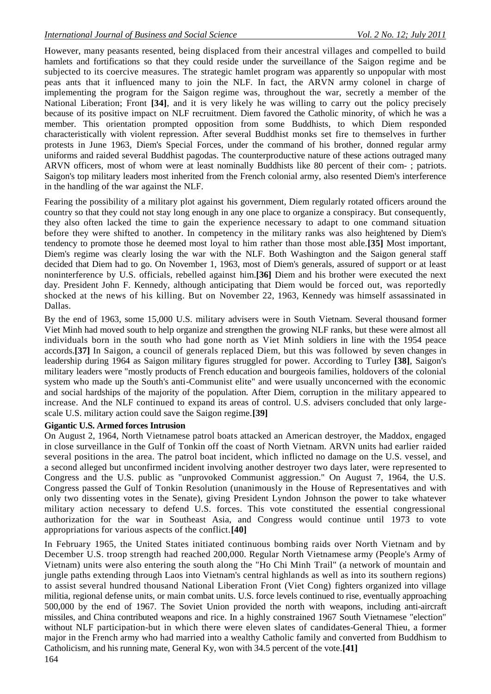However, many peasants resented, being displaced from their ancestral villages and compelled to build hamlets and fortifications so that they could reside under the surveillance of the Saigon regime and be subjected to its coercive measures. The strategic hamlet program was apparently so unpopular with most peas ants that it influenced many to join the NLF. In fact, the ARVN army colonel in charge of implementing the program for the Saigon regime was, throughout the war, secretly a member of the National Liberation; Front **[34]**, and it is very likely he was willing to carry out the policy precisely because of its positive impact on NLF recruitment. Diem favored the Catholic minority, of which he was a member. This orientation prompted opposition from some Buddhists, to which Diem responded characteristically with violent repression. After several Buddhist monks set fire to themselves in further protests in June 1963, Diem's Special Forces, under the command of his brother, donned regular army uniforms and raided several Buddhist pagodas. The counterproductive nature of these actions outraged many ARVN officers, most of whom were at least nominally Buddhists like 80 percent of their com- ; patriots. Saigon's top military leaders most inherited from the French colonial army, also resented Diem's interference in the handling of the war against the NLF.

Fearing the possibility of a military plot against his government, Diem regularly rotated officers around the country so that they could not stay long enough in any one place to organize a conspiracy. But consequently, they also often lacked the time to gain the experience necessary to adapt to one command situation before they were shifted to another. In competency in the military ranks was also heightened by Diem's tendency to promote those he deemed most loyal to him rather than those most able.**[35]** Most important, Diem's regime was clearly losing the war with the NLF. Both Washington and the Saigon general staff decided that Diem had to go. On November 1, 1963, most of Diem's generals, assured of support or at least noninterference by U.S. officials, rebelled against him.**[36]** Diem and his brother were executed the next day. President John F. Kennedy, although anticipating that Diem would be forced out, was reportedly shocked at the news of his killing. But on November 22, 1963, Kennedy was himself assassinated in Dallas.

By the end of 1963, some 15,000 U.S. military advisers were in South Vietnam. Several thousand former Viet Minh had moved south to help organize and strengthen the growing NLF ranks, but these were almost all individuals born in the south who had gone north as Viet Minh soldiers in line with the 1954 peace accords.**[37]** In Saigon, a council of generals replaced Diem, but this was followed by seven changes in leadership during 1964 as Saigon military figures struggled for power. According to Turley **[38]**, Saigon's military leaders were "mostly products of French education and bourgeois families, holdovers of the colonial system who made up the South's anti-Communist elite" and were usually unconcerned with the economic and social hardships of the majority of the population. After Diem, corruption in the military appeared to increase. And the NLF continued to expand its areas of control. U.S. advisers concluded that only largescale U.S. military action could save the Saigon regime.**[39]**

#### **Gigantic U.S. Armed forces Intrusion**

On August 2, 1964, North Vietnamese patrol boats attacked an American destroyer, the Maddox, engaged in close surveillance in the Gulf of Tonkin off the coast of North Vietnam. ARVN units had earlier raided several positions in the area. The patrol boat incident, which inflicted no damage on the U.S. vessel, and a second alleged but unconfirmed incident involving another destroyer two days later, were represented to Congress and the U.S. public as "unprovoked Communist aggression." On August 7, 1964, the U.S. Congress passed the Gulf of Tonkin Resolution (unanimously in the House of Representatives and with only two dissenting votes in the Senate), giving President Lyndon Johnson the power to take whatever military action necessary to defend U.S. forces. This vote constituted the essential congressional authorization for the war in Southeast Asia, and Congress would continue until 1973 to vote appropriations for various aspects of the conflict.**[40]**

164 In February 1965, the United States initiated continuous bombing raids over North Vietnam and by December U.S. troop strength had reached 200,000. Regular North Vietnamese army (People's Army of Vietnam) units were also entering the south along the "Ho Chi Minh Trail" (a network of mountain and jungle paths extending through Laos into Vietnam's central highlands as well as into its southern regions) to assist several hundred thousand National Liberation Front (Viet Cong) fighters organized into village militia, regional defense units, or main combat units. U.S. force levels continued to rise, eventually approaching 500,000 by the end of 1967. The Soviet Union provided the north with weapons, including anti-aircraft missiles, and China contributed weapons and rice. In a highly constrained 1967 South Vietnamese "election" without NLF participation-but in which there were eleven slates of candidates-General Thieu, a former major in the French army who had married into a wealthy Catholic family and converted from Buddhism to Catholicism, and his running mate, General Ky, won with 34.5 percent of the vote.**[41]**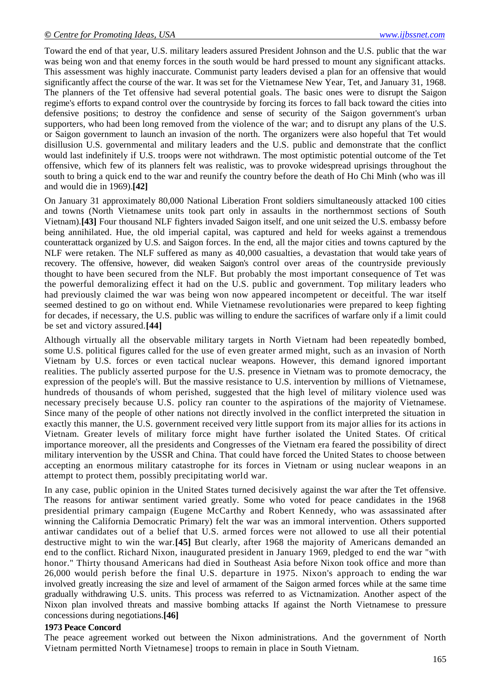Toward the end of that year, U.S. military leaders assured President Johnson and the U.S. public that the war was being won and that enemy forces in the south would be hard pressed to mount any significant attacks. This assessment was highly inaccurate. Communist party leaders devised a plan for an offensive that would significantly affect the course of the war. It was set for the Vietnamese New Year, Tet, and January 31, 1968. The planners of the Tet offensive had several potential goals. The basic ones were to disrupt the Saigon regime's efforts to expand control over the countryside by forcing its forces to fall back toward the cities into defensive positions; to destroy the confidence and sense of security of the Saigon government's urban supporters, who had been long removed from the violence of the war; and to disrupt any plans of the U.S. or Saigon government to launch an invasion of the north. The organizers were also hopeful that Tet would disillusion U.S. governmental and military leaders and the U.S. public and demonstrate that the conflict would last indefinitely if U.S. troops were not withdrawn. The most optimistic potential outcome of the Tet offensive, which few of its planners felt was realistic, was to provoke widespread uprisings throughout the south to bring a quick end to the war and reunify the country before the death of Ho Chi Minh (who was ill and would die in 1969).**[42]**

On January 31 approximately 80,000 National Liberation Front soldiers simultaneously attacked 100 cities and towns (North Vietnamese units took part only in assaults in the northernmost sections of South Vietnam).**[43]** Four thousand NLF fighters invaded Saigon itself, and one unit seized the U.S. embassy before being annihilated. Hue, the old imperial capital, was captured and held for weeks against a tremendous counterattack organized by U.S. and Saigon forces. In the end, all the major cities and towns captured by the NLF were retaken. The NLF suffered as many as 40,000 casualties, a devastation that would take years of recovery. The offensive, however, did weaken Saigon's control over areas of the countryside previously thought to have been secured from the NLF. But probably the most important consequence of Tet was the powerful demoralizing effect it had on the U.S. public and government. Top military leaders who had previously claimed the war was being won now appeared incompetent or deceitful. The war itself seemed destined to go on without end. While Vietnamese revolutionaries were prepared to keep fighting for decades, if necessary, the U.S. public was willing to endure the sacrifices of warfare only if a limit could be set and victory assured.**[44]**

Although virtually all the observable military targets in North Vietnam had been repeatedly bombed, some U.S. political figures called for the use of even greater armed might, such as an invasion of North Vietnam by U.S. forces or even tactical nuclear weapons. However, this demand ignored important realities. The publicly asserted purpose for the U.S. presence in Vietnam was to promote democracy, the expression of the people's will. But the massive resistance to U.S. intervention by millions of Vietnamese, hundreds of thousands of whom perished, suggested that the high level of military violence used was necessary precisely because U.S. policy ran counter to the aspirations of the majority of Vietnamese. Since many of the people of other nations not directly involved in the conflict interpreted the situation in exactly this manner, the U.S. government received very little support from its major allies for its actions in Vietnam. Greater levels of military force might have further isolated the United States. Of critical importance moreover, all the presidents and Congresses of the Vietnam era feared the possibility of direct military intervention by the USSR and China. That could have forced the United States to choose between accepting an enormous military catastrophe for its forces in Vietnam or using nuclear weapons in an attempt to protect them, possibly precipitating world war.

In any case, public opinion in the United States turned decisively against the war after the Tet offensive. The reasons for antiwar sentiment varied greatly. Some who voted for peace candidates in the 1968 presidential primary campaign (Eugene McCarthy and Robert Kennedy, who was assassinated after winning the California Democratic Primary) felt the war was an immoral intervention. Others supported antiwar candidates out of a belief that U.S. armed forces were not allowed to use all their potential destructive might to win the war.**[45]** But clearly, after 1968 the majority of Americans demanded an end to the conflict. Richard Nixon, inaugurated president in January 1969, pledged to end the war "with honor." Thirty thousand Americans had died in Southeast Asia before Nixon took office and more than 26,000 would perish before the final U.S. departure in 1975. Nixon's approach to ending the war involved greatly increasing the size and level of armament of the Saigon armed forces while at the same time gradually withdrawing U.S. units. This process was referred to as Victnamization. Another aspect of the Nixon plan involved threats and massive bombing attacks If against the North Vietnamese to pressure concessions during negotiations.**[46]**

### **1973 Peace Concord**

The peace agreement worked out between the Nixon administrations. And the government of North Vietnam permitted North Vietnamese] troops to remain in place in South Vietnam.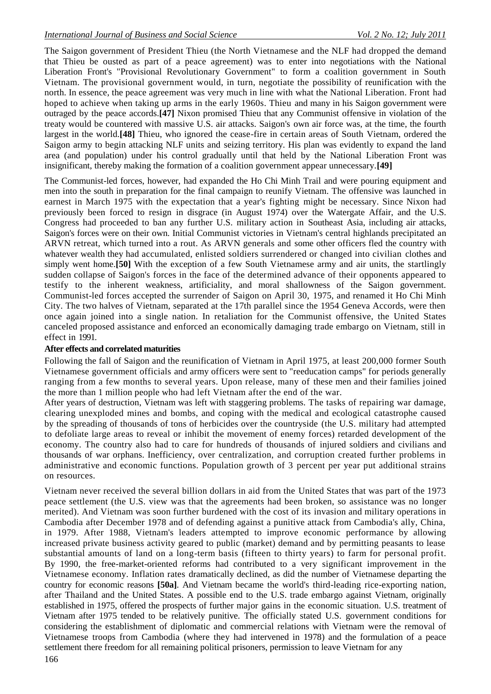The Saigon government of President Thieu (the North Vietnamese and the NLF had dropped the demand that Thieu be ousted as part of a peace agreement) was to enter into negotiations with the National Liberation Front's "Provisional Revolutionary Government" to form a coalition government in South Vietnam. The provisional government would, in turn, negotiate the possibility of reunification with the north. In essence, the peace agreement was very much in line with what the National Liberation. Front had hoped to achieve when taking up arms in the early 1960s. Thieu and many in his Saigon government were outraged by the peace accords.**[47]** Nixon promised Thieu that any Communist offensive in violation of the treaty would be countered with massive U.S. air attacks. Saigon's own air force was, at the time, the fourth largest in the world.**[48]** Thieu, who ignored the cease-fire in certain areas of South Vietnam, ordered the Saigon army to begin attacking NLF units and seizing territory. His plan was evidently to expand the land area (and population) under his control gradually until that held by the National Liberation Front was insignificant, thereby making the formation of a coalition government appear unnecessary.**[49]**

The Communist-led forces, however, had expanded the Ho Chi Minh Trail and were pouring equipment and men into the south in preparation for the final campaign to reunify Vietnam. The offensive was launched in earnest in March 1975 with the expectation that a year's fighting might be necessary. Since Nixon had previously been forced to resign in disgrace (in August 1974) over the Watergate Affair, and the U.S. Congress had proceeded to ban any further U.S. military action in Southeast Asia, including air attacks, Saigon's forces were on their own. Initial Communist victories in Vietnam's central highlands precipitated an ARVN retreat, which turned into a rout. As ARVN generals and some other officers fled the country with whatever wealth they had accumulated, enlisted soldiers surrendered or changed into civilian clothes and simply went home.**[50]** With the exception of a few South Vietnamese army and air units, the startlingly sudden collapse of Saigon's forces in the face of the determined advance of their opponents appeared to testify to the inherent weakness, artificiality, and moral shallowness of the Saigon government. Communist-led forces accepted the surrender of Saigon on April 30, 1975, and renamed it Ho Chi Minh City. The two halves of Vietnam, separated at the 17th parallel since the 1954 Geneva Accords, were then once again joined into a single nation. In retaliation for the Communist offensive, the United States canceled proposed assistance and enforced an economically damaging trade embargo on Vietnam, still in effect in 1991.

### **After effects and correlated maturities**

Following the fall of Saigon and the reunification of Vietnam in April 1975, at least 200,000 former South Vietnamese government officials and army officers were sent to "reeducation camps" for periods generally ranging from a few months to several years. Upon release, many of these men and their families joined the more than 1 million people who had left Vietnam after the end of the war.

After years of destruction, Vietnam was left with staggering problems. The tasks of repairing war damage, clearing unexploded mines and bombs, and coping with the medical and ecological catastrophe caused by the spreading of thousands of tons of herbicides over the countryside (the U.S. military had attempted to defoliate large areas to reveal or inhibit the movement of enemy forces) retarded development of the economy. The country also had to care for hundreds of thousands of injured soldiers and civilians and thousands of war orphans. Inefficiency, over centralization, and corruption created further problems in administrative and economic functions. Population growth of 3 percent per year put additional strains on resources.

Vietnam never received the several billion dollars in aid from the United States that was part of the 1973 peace settlement (the U.S. view was that the agreements had been broken, so assistance was no longer merited). And Vietnam was soon further burdened with the cost of its invasion and military operations in Cambodia after December 1978 and of defending against a punitive attack from Cambodia's ally, China, in 1979. After 1988, Vietnam's leaders attempted to improve economic performance by allowing increased private business activity geared to public (market) demand and by permitting peasants to lease substantial amounts of land on a long-term basis (fifteen to thirty years) to farm for personal profit. By 1990, the free-market-oriented reforms had contributed to a very significant improvement in the Vietnamese economy. Inflation rates dramatically declined, as did the number of Vietnamese departing the country for economic reasons **[50a]**. And Vietnam became the world's third-leading rice-exporting nation, after Thailand and the United States. A possible end to the U.S. trade embargo against Vietnam, originally established in 1975, offered the prospects of further major gains in the economic situation. U.S. treatment of Vietnam after 1975 tended to be relatively punitive. The officially stated U.S. government conditions for considering the establishment of diplomatic and commercial relations with Vietnam were the removal of Vietnamese troops from Cambodia (where they had intervened in 1978) and the formulation of a peace settlement there freedom for all remaining political prisoners, permission to leave Vietnam for any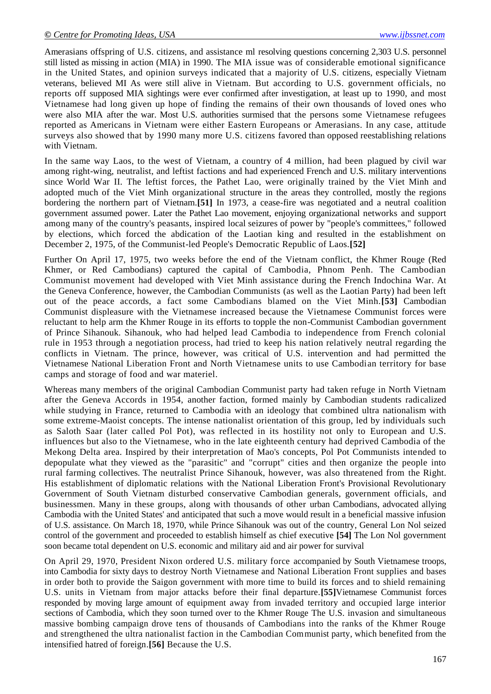Amerasians offspring of U.S. citizens, and assistance ml resolving questions concerning 2,303 U.S. personnel still listed as missing in action (MIA) in 1990. The MIA issue was of considerable emotional significance in the United States, and opinion surveys indicated that a majority of U.S. citizens, especially Vietnam veterans, believed MI As were still alive in Vietnam. But according to U.S. government officials, no reports off supposed MIA sightings were ever confirmed after investigation, at least up to 1990, and most Vietnamese had long given up hope of finding the remains of their own thousands of loved ones who were also MIA after the war. Most U.S. authorities surmised that the persons some Vietnamese refugees reported as Americans in Vietnam were either Eastern Europeans or Amerasians. In any case, attitude surveys also showed that by 1990 many more U.S. citizens favored than opposed reestablishing relations with Vietnam.

In the same way Laos, to the west of Vietnam, a country of 4 million, had been plagued by civil war among right-wing, neutralist, and leftist factions and had experienced French and U.S. military interventions since World War II. The leftist forces, the Pathet Lao, were originally trained by the Viet Minh and adopted much of the Viet Minh organizational structure in the areas they controlled, mostly the regions bordering the northern part of Vietnam.**[51]** In 1973, a cease-fire was negotiated and a neutral coalition government assumed power. Later the Pathet Lao movement, enjoying organizational networks and support among many of the country's peasants, inspired local seizures of power by "people's committees," followed by elections, which forced the abdication of the Laotian king and resulted in the establishment on December 2, 1975, of the Communist-led People's Democratic Republic of Laos.**[52]**

Further On April 17, 1975, two weeks before the end of the Vietnam conflict, the Khmer Rouge (Red Khmer, or Red Cambodians) captured the capital of Cambodia, Phnom Penh. The Cambodian Communist movement had developed with Viet Minh assistance during the French Indochina War. At the Geneva Conference, however, the Cambodian Communists (as well as the Laotian Party) had been left out of the peace accords, a fact some Cambodians blamed on the Viet Minh.**[53]** Cambodian Communist displeasure with the Vietnamese increased because the Vietnamese Communist forces were reluctant to help arm the Khmer Rouge in its efforts to topple the non-Communist Cambodian government of Prince Sihanouk. Sihanouk, who had helped lead Cambodia to independence from French colonial rule in 1953 through a negotiation process, had tried to keep his nation relatively neutral regarding the conflicts in Vietnam. The prince, however, was critical of U.S. intervention and had permitted the Vietnamese National Liberation Front and North Vietnamese units to use Cambodian territory for base camps and storage of food and war materiel.

Whereas many members of the original Cambodian Communist party had taken refuge in North Vietnam after the Geneva Accords in 1954, another faction, formed mainly by Cambodian students radicalized while studying in France, returned to Cambodia with an ideology that combined ultra nationalism with some extreme-Maoist concepts. The intense nationalist orientation of this group, led by individuals such as Saloth Saar (later called Pol Pot), was reflected in its hostility not only to European and U.S. influences but also to the Vietnamese, who in the late eighteenth century had deprived Cambodia of the Mekong Delta area. Inspired by their interpretation of Mao's concepts, Pol Pot Communists intended to depopulate what they viewed as the "parasitic" and "corrupt" cities and then organize the people into rural farming collectives. The neutralist Prince Sihanouk, however, was also threatened from the Right. His establishment of diplomatic relations with the National Liberation Front's Provisional Revolutionary Government of South Vietnam disturbed conservative Cambodian generals, government officials, and businessmen. Many in these groups, along with thousands of other urban Cambodians, advocated allying Cambodia with the United States' and anticipated that such a move would result in a beneficial massive infusion of U.S. assistance. On March 18, 1970, while Prince Sihanouk was out of the country, General Lon Nol seized control of the government and proceeded to establish himself as chief executive **[54]** The Lon Nol government soon became total dependent on U.S. economic and military aid and air power for survival

On April 29, 1970, President Nixon ordered U.S. military force accompanied by South Vietnamese troops, into Cambodia for sixty days to destroy North Vietnamese and National Liberation Front supplies and bases in order both to provide the Saigon government with more time to build its forces and to shield remaining U.S. units in Vietnam from major attacks before their final departure.**[55]**Vietnamese Communist forces responded by moving large amount of equipment away from invaded territory and occupied large interior sections of Cambodia, which they soon turned over to the Khmer Rouge The U.S. invasion and simultaneous massive bombing campaign drove tens of thousands of Cambodians into the ranks of the Khmer Rouge and strengthened the ultra nationalist faction in the Cambodian Communist party, which benefited from the intensified hatred of foreign.**[56]** Because the U.S.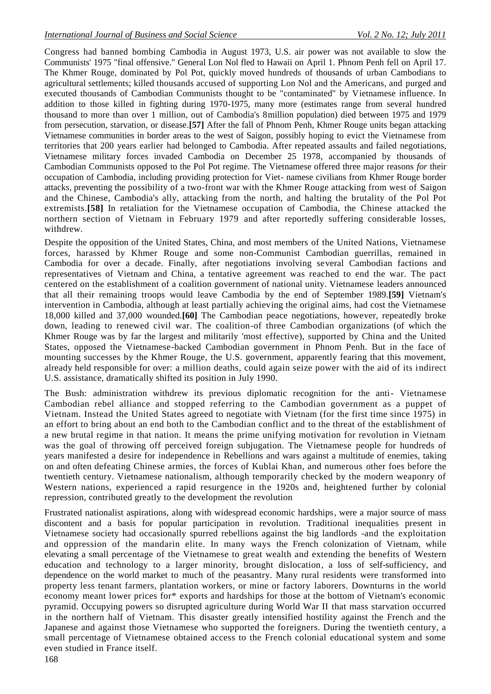Congress had banned bombing Cambodia in August 1973, U.S. air power was not available to slow the Communists' 1975 "final offensive." General Lon Nol fled to Hawaii on April 1. Phnom Penh fell on April 17. The Khmer Rouge, dominated by Pol Pot, quickly moved hundreds of thousands of urban Cambodians to agricultural settlements; killed thousands accused of supporting Lon Nol and the Americans, and purged and executed thousands of Cambodian Communists thought to be "contaminated" by Vietnamese influence. In addition to those killed in fighting during 1970-1975, many more (estimates range from several hundred thousand to more than over 1 million, out of Cambodia's 8million population) died between 1975 and 1979 from persecution, starvation, or disease.**[57]** After the fall of Phnom Penh, Khmer Rouge units began attacking Vietnamese communities in border areas to the west of Saigon, possibly hoping to evict the Vietnamese from territories that 200 years earlier had belonged to Cambodia. After repeated assaults and failed negotiations, Vietnamese military forces invaded Cambodia on December 25 1978, accompanied by thousands of Cambodian Communists opposed to the Pol Pot regime. The Vietnamese offered three major reasons *for* their occupation of Cambodia, including providing protection for Viet- namese civilians from Khmer Rouge border attacks, preventing the possibility of a two-front war with the Khmer Rouge attacking from west of Saigon and the Chinese, Cambodia's ally, attacking from the north, and halting the brutality of the Pol Pot extremists.**[58]** In retaliation for the Vietnamese occupation of Cambodia, the Chinese attacked the northern section of Vietnam in February 1979 and after reportedly suffering considerable losses, withdrew.

Despite the opposition of the United States, China, and most members of the United Nations, Vietnamese forces, harassed by Khmer Rouge and some non-Communist Cambodian guerrillas, remained in Cambodia for over a decade. Finally, after negotiations involving several Cambodian factions and representatives of Vietnam and China, a tentative agreement was reached to end the war. The pact centered on the establishment of a coalition government of national unity. Vietnamese leaders announced that all their remaining troops would leave Cambodia by the end of September 1989*.***[59]** Vietnam's intervention in Cambodia, although at least partially achieving the original aims, had cost the Vietnamese 18,000 killed and 37,000 wounded*.***[60]** The Cambodian peace negotiations, however, repeatedly broke down, leading to renewed civil war. The coalition-of three Cambodian organizations (of which the Khmer Rouge was by far the largest and militarily 'most effective), supported by China and the United States, opposed the Vietnamese-backed Cambodian government in Phnom Penh. But in the face of mounting successes by the Khmer Rouge, the U.S. government, apparently fearing that this movement, already held responsible for over: a million deaths, could again seize power with the aid of its indirect U.S. assistance, dramatically shifted its position in July 1990.

The Bush: administration withdrew its previous diplomatic recognition for the anti- Vietnamese Cambodian rebel alliance and stopped referring to the Cambodian government as a puppet of Vietnam. Instead the United States agreed to negotiate with Vietnam (for the first time since 1975) in an effort to bring about an end both to the Cambodian conflict and to the threat of the establishment of a new brutal regime in that nation. It means the prime unifying motivation for revolution in Vietnam was the goal of throwing off perceived foreign subjugation. The Vietnamese people for hundreds of years manifested a desire for independence in Rebellions and wars against a multitude of enemies, taking on and often defeating Chinese armies, the forces of Kublai Khan, and numerous other foes before the twentieth century. Vietnamese nationalism, although temporarily checked by the modern weaponry of Western nations, experienced a rapid resurgence in the 1920s and, heightened further by colonial repression, contributed greatly to the development the revolution

Frustrated nationalist aspirations, along with widespread economic hardships, were a major source of mass discontent and a basis for popular participation in revolution. Traditional inequalities present in Vietnamese society had occasionally spurred rebellions against the big landlords -and the exploitation and oppression of the mandarin elite. In many ways the French colonization of Vietnam, while elevating a small percentage of the Vietnamese to great wealth and extending the benefits of Western education and technology to a larger minority, brought dislocation, a loss of self-sufficiency, and dependence on the world market to much of the peasantry. Many rural residents were transformed into property less tenant farmers, plantation workers, or mine or factory laborers. Downturns in the world economy meant lower prices for\* exports and hardships for those at the bottom of Vietnam's economic pyramid. Occupying powers so disrupted agriculture during World War II that mass starvation occurred in the northern half of Vietnam. This disaster greatly intensified hostility against the French and the Japanese and against those Vietnamese who supported the foreigners. During the twentieth century, a small percentage of Vietnamese obtained access to the French colonial educational system and some even studied in France itself.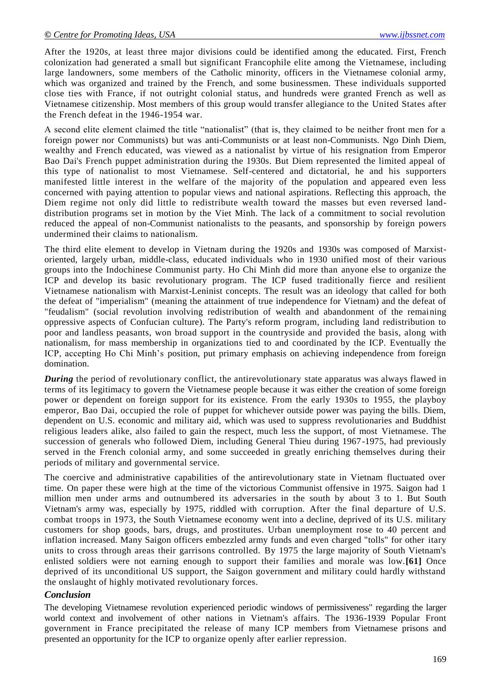After the 1920s, at least three major divisions could be identified among the educated. First, French colonization had generated a small but significant Francophile elite among the Vietnamese, including large landowners, some members of the Catholic minority, officers in the Vietnamese colonial army, which was organized and trained by the French, and some businessmen. These individuals supported close ties with France, if not outright colonial status, and hundreds were granted French as well as Vietnamese citizenship. Most members of this group would transfer allegiance to the United States after the French defeat in the 1946-1954 war.

A second elite element claimed the title "nationalist" (that is, they claimed to be neither front men for a foreign power nor Communists) but was anti-Communists or at least non-Communists. Ngo Dinh Diem, wealthy and French educated, was viewed as a nationalist by virtue of his resignation from Emperor Bao Dai's French puppet administration during the 1930s. But Diem represented the limited appeal of this type of nationalist to most Vietnamese. Self-centered and dictatorial, he and his supporters manifested little interest in the welfare of the majority of the population and appeared even less concerned with paying attention to popular views and national aspirations. Reflecting this approach, the Diem regime not only did little to redistribute wealth toward the masses but even reversed landdistribution programs set in motion by the Viet Minh. The lack of a commitment to social revolution reduced the appeal of non-Communist nationalists to the peasants, and sponsorship by foreign powers undermined their claims to nationalism.

The third elite element to develop in Vietnam during the 1920s and 1930s was composed of Marxistoriented, largely urban, middle-class, educated individuals who in 1930 unified most of their various groups into the Indochinese Communist party. Ho Chi Minh did more than anyone else to organize the ICP and develop its basic revolutionary program. The ICP fused traditionally fierce and resilient Vietnamese nationalism with Marxist-Leninist concepts. The result was an ideology that called for both the defeat of "imperialism" (meaning the attainment of true independence for Vietnam) and the defeat of "feudalism" (social revolution involving redistribution of wealth and abandonment of the remaining oppressive aspects of Confucian culture). The Party's reform program, including land redistribution to poor and landless peasants, won broad support in the countryside and provided the basis, along with nationalism, for mass membership in organizations tied to and coordinated by the ICP. Eventually the ICP, accepting Ho Chi Minh's position, put primary emphasis on achieving independence from foreign domination.

*During* the period of revolutionary conflict, the antirevolutionary state apparatus was always flawed in terms of its legitimacy to govern the Vietnamese people because it was either the creation of some foreign power or dependent on foreign support for its existence. From the early 1930s to 1955, the playboy emperor, Bao Dai, occupied the role of puppet for whichever outside power was paying the bills. Diem, dependent on U.S. economic and military aid, which was used to suppress revolutionaries and Buddhist religious leaders alike, also failed to gain the respect, much less the support, of most Vietnamese. The succession of generals who followed Diem, including General Thieu during 1967-1975, had previously served in the French colonial army, and some succeeded in greatly enriching themselves during their periods of military and governmental service.

The coercive and administrative capabilities of the antirevolutionary state in Vietnam fluctuated over time. On paper these were high at the time of the victorious Communist offensive in 1975. Saigon had 1 million men under arms and outnumbered its adversaries in the south by about 3 to 1. But South Vietnam's army was, especially by 1975, riddled with corruption. After the final departure of U.S. combat troops in 1973, the South Vietnamese economy went into a decline, deprived of its U.S. military customers for shop goods, bars, drugs, and prostitutes. Urban unemployment rose to 40 percent and inflation increased. Many Saigon officers embezzled army funds and even charged "tolls" for other itary units to cross through areas their garrisons controlled. By 1975 the large majority of South Vietnam's enlisted soldiers were not earning enough to support their families and morale was low.**[61]** Once deprived of its unconditional US support, the Saigon government and military could hardly withstand the onslaught of highly motivated revolutionary forces.

# *Conclusion*

The developing Vietnamese revolution experienced periodic windows of permissiveness" regarding the larger world context and involvement of other nations in Vietnam's affairs. The 1936-1939 Popular Front government in France precipitated the release of many ICP members from Vietnamese prisons and presented an opportunity for the ICP to organize openly after earlier repression.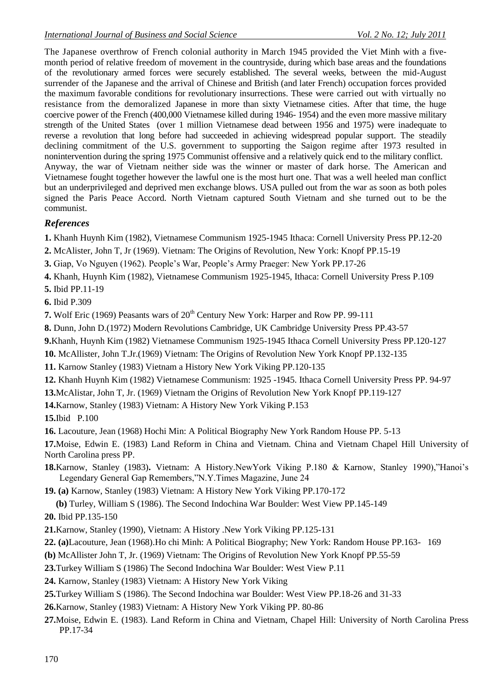The Japanese overthrow of French colonial authority in March 1945 provided the Viet Minh with a fivemonth period of relative freedom of movement in the countryside, during which base areas and the foundations of the revolutionary armed forces were securely established. The several weeks, between the mid-August surrender of the Japanese and the arrival of Chinese and British (and later French) occupation forces provided the maximum favorable conditions for revolutionary insurrections. These were carried out with virtually no resistance from the demoralized Japanese in more than sixty Vietnamese cities. After that time, the huge coercive power of the French (400,000 Vietnamese killed during 1946- 1954) and the even more massive military strength of the United States (over 1 million Vietnamese dead between 1956 and 1975) were inadequate to reverse a revolution that long before had succeeded in achieving widespread popular support. The steadily declining commitment of the U.S. government to supporting the Saigon regime after 1973 resulted in nonintervention during the spring 1975 Communist offensive and a relatively quick end to the military conflict. Anyway, the war of Vietnam neither side was the winner or master of dark horse. The American and Vietnamese fought together however the lawful one is the most hurt one. That was a well heeled man conflict but an underprivileged and deprived men exchange blows. USA pulled out from the war as soon as both poles signed the Paris Peace Accord. North Vietnam captured South Vietnam and she turned out to be the communist.

# *References*

**1.** Khanh Huynh Kim (1982), Vietnamese Communism 1925-1945 Ithaca: Cornell University Press PP.12-20

- **2.** McAlister, John T, Jr (1969). Vietnam: The Origins of Revolution, New York: Knopf PP.15-19
- **3.** Giap, Vo Nguyen (1962). People's War, People's Army Praeger: New York PP.17-26
- **4.** Khanh, Huynh Kim (1982), Vietnamese Communism 1925-1945, Ithaca: Cornell University Press P.109

**5.** Ibid PP.11-19

**6.** Ibid P.309

**7.** Wolf Eric (1969) Peasants wars of 20<sup>th</sup> Century New York: Harper and Row PP. 99-111

**8.** Dunn, John D.(1972) Modern Revolutions Cambridge, UK Cambridge University Press PP.43-57

**9.**Khanh, Huynh Kim (1982) Vietnamese Communism 1925-1945 Ithaca Cornell University Press PP.120-127

**10.** McAllister, John T.Jr.(1969) Vietnam: The Origins of Revolution New York Knopf PP.132-135

**11.** Karnow Stanley (1983) Vietnam a History New York Viking PP.120-135

**12.** Khanh Huynh Kim (1982) Vietnamese Communism: 1925 -1945. Ithaca Cornell University Press PP. 94-97

**13.**McAlistar, John T, Jr. (1969) Vietnam the Origins of Revolution New York Knopf PP.119-127

**14.**Karnow, Stanley (1983) Vietnam: A History New York Viking P.153

**15.**Ibid P.100

**16.** Lacouture, Jean (1968) Hochi Min: A Political Biography New York Random House PP. 5-13

**17.**Moise, Edwin E. (1983) Land Reform in China and Vietnam. China and Vietnam Chapel Hill University of North Carolina press PP.

- 18.Karnow, Stanley (1983). Vietnam: A History.NewYork Viking P.180 & Karnow, Stanley 1990),"Hanoi's Legendary General Gap Remembers,"N.Y.Times Magazine, June 24
- **19. (a)** Karnow, Stanley (1983) Vietnam: A History New York Viking PP.170-172

 **(b)** Turley, William S (1986). The Second Indochina War Boulder: West View PP.145-149

**20.** Ibid PP.135-150

**21.**Karnow, Stanley (1990), Vietnam: A History .New York Viking PP.125-131

**22. (a)**Lacouture, Jean (1968).Ho chi Minh: A Political Biography; New York: Random House PP.163- 169

**(b)** McAllister John T, Jr. (1969) Vietnam: The Origins of Revolution New York Knopf PP.55-59

**23.**Turkey William S (1986) The Second Indochina War Boulder: West View P.11

**24.** Karnow, Stanley (1983) Vietnam: A History New York Viking

**25.**Turkey William S (1986). The Second Indochina war Boulder: West View PP.18-26 and 31-33

**26.**Karnow, Stanley (1983) Vietnam: A History New York Viking PP. 80-86

**27.**Moise, Edwin E. (1983). Land Reform in China and Vietnam, Chapel Hill: University of North Carolina Press PP.17-34